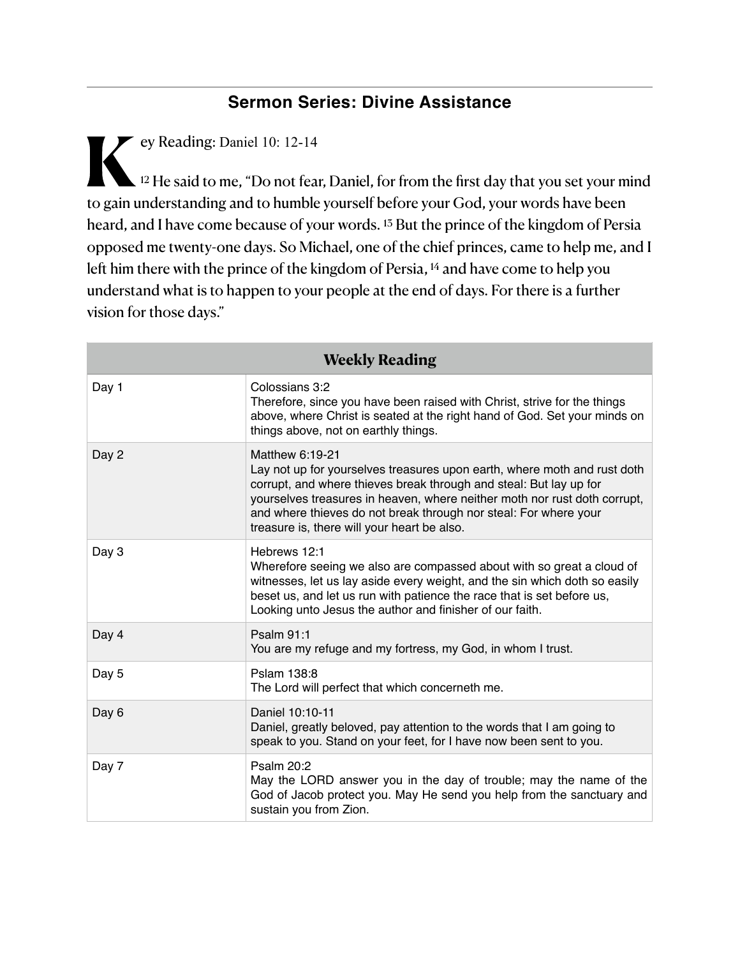## **Sermon Series: Divine Assistance**

**K**ey Reading: Daniel 10: 12-14  $\sim$  <sup>12</sup> He said to me, "Do not fear, Daniel, for from the first day that you set your mind to gain understanding and to humble yourself before your God, your words have been heard, and I have come because of your words. 13 But the prince of the kingdom of Persia opposed me twenty-one days. So Michael, one of the chief princes, came to help me, and I left him there with the prince of the kingdom of Persia, <sup>14</sup> and have come to help you understand what is to happen to your people at the end of days. For there is a further vision for those days."

| <b>Weekly Reading</b> |                                                                                                                                                                                                                                                                                                                                                                   |
|-----------------------|-------------------------------------------------------------------------------------------------------------------------------------------------------------------------------------------------------------------------------------------------------------------------------------------------------------------------------------------------------------------|
| Day 1                 | Colossians 3:2<br>Therefore, since you have been raised with Christ, strive for the things<br>above, where Christ is seated at the right hand of God. Set your minds on<br>things above, not on earthly things.                                                                                                                                                   |
| Day 2                 | Matthew 6:19-21<br>Lay not up for yourselves treasures upon earth, where moth and rust doth<br>corrupt, and where thieves break through and steal: But lay up for<br>yourselves treasures in heaven, where neither moth nor rust doth corrupt,<br>and where thieves do not break through nor steal: For where your<br>treasure is, there will your heart be also. |
| Day 3                 | Hebrews 12:1<br>Wherefore seeing we also are compassed about with so great a cloud of<br>witnesses, let us lay aside every weight, and the sin which doth so easily<br>beset us, and let us run with patience the race that is set before us,<br>Looking unto Jesus the author and finisher of our faith.                                                         |
| Day 4                 | Psalm 91:1<br>You are my refuge and my fortress, my God, in whom I trust.                                                                                                                                                                                                                                                                                         |
| Day 5                 | Pslam 138:8<br>The Lord will perfect that which concerneth me.                                                                                                                                                                                                                                                                                                    |
| Day 6                 | Daniel 10:10-11<br>Daniel, greatly beloved, pay attention to the words that I am going to<br>speak to you. Stand on your feet, for I have now been sent to you.                                                                                                                                                                                                   |
| Day 7                 | Psalm 20:2<br>May the LORD answer you in the day of trouble; may the name of the<br>God of Jacob protect you. May He send you help from the sanctuary and<br>sustain you from Zion.                                                                                                                                                                               |